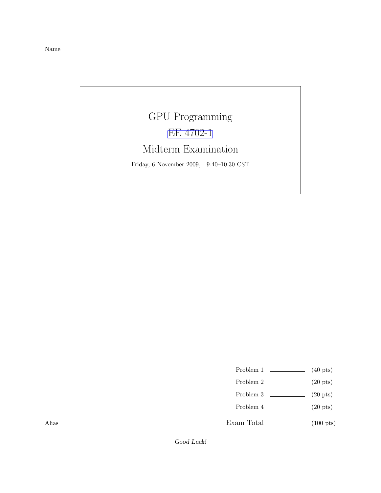Name

## GPU Programming [EE 4702-1](http://www.ece.lsu.edu/koppel/gpup/) Midterm Examination Friday, 6 November 2009, 9:40–10:30 CST

- Problem 1  $\qquad \qquad$  (40 pts)
- Problem 2  $\qquad \qquad (20 \text{ pts})$
- Problem 3  $\qquad \qquad$  (20 pts)
- Problem 4  $\qquad \qquad (20 \text{ pts})$
- Exam Total \_\_\_\_\_\_\_\_\_\_\_\_\_ (100 pts)

Alias

Good Luck!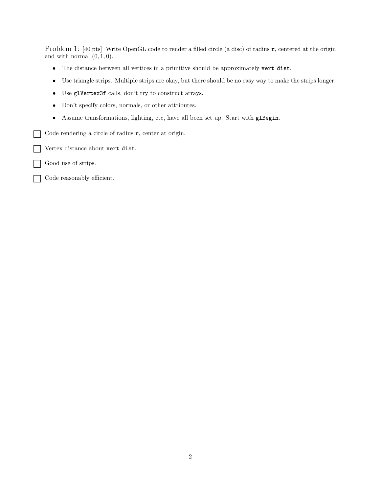Problem 1: [40 pts] Write OpenGL code to render a filled circle (a disc) of radius r, centered at the origin and with normal  $(0, 1, 0)$ .

- The distance between all vertices in a primitive should be approximately vert dist.
- Use triangle strips. Multiple strips are okay, but there should be no easy way to make the strips longer.
- Use glVertex3f calls, don't try to construct arrays.
- Don't specify colors, normals, or other attributes.
- Assume transformations, lighting, etc, have all been set up. Start with glBegin.
- Code rendering a circle of radius r, center at origin.  $\overline{\phantom{a}}$
- Vertex distance about vert dist.
- Good use of strips.
- Code reasonably efficient.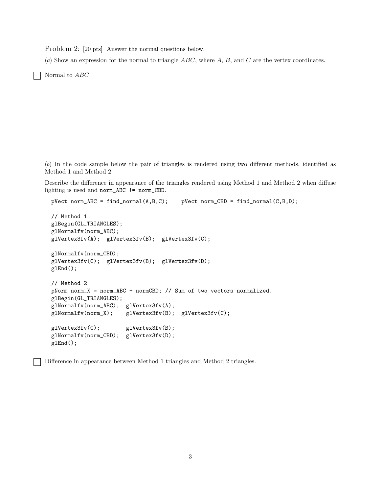Problem 2: [20 pts] Answer the normal questions below.

(a) Show an expression for the normal to triangle  $ABC$ , where  $A, B$ , and  $C$  are the vertex coordinates.

Normal to ABC

(b) In the code sample below the pair of triangles is rendered using two different methods, identified as Method 1 and Method 2.

Describe the difference in appearance of the triangles rendered using Method 1 and Method 2 when diffuse lighting is used and norm\_ABC != norm\_CBD.

```
pVect norm_ABC = find_normal(A, B, C); pVect norm_CBD = find_normal(C, B, D);
```

```
// Method 1
glBegin(GL_TRIANGLES);
glNormalfv(norm_ABC);
glVertex3fv(A); glVertex3fv(B); glVertex3fv(C);
glNormalfv(norm_CBD);
glVertex3fv(C); glVertex3fv(B); glVertex3fv(D);
glEnd();
// Method 2
pNorm norm_X = norm_ABC + normCBD; // Sum of two vectors normalized.
glBegin(GL_TRIANGLES);
glNormalfv(norm_ABC); glVertex3fv(A);
glNormalfv(norm_X); glVertex3fv(B); glVertex3fv(C);
glVertex3fv(C); glVertex3fv(B);
glNormalfv(norm_CBD); glVertex3fv(D);
glEnd();
```
Difference in appearance between Method 1 triangles and Method 2 triangles.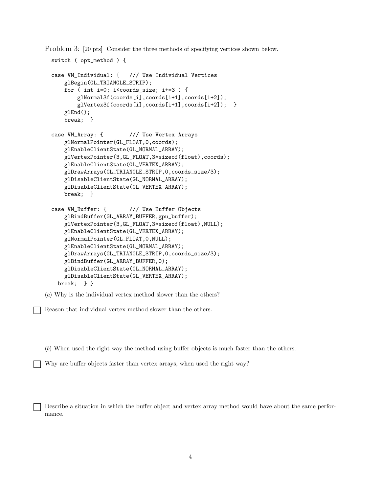Problem 3: [20 pts] Consider the three methods of specifying vertices shown below.

```
switch ( opt_method ) {
case VM_Individual: { /// Use Individual Vertices
    glBegin(GL_TRIANGLE_STRIP);
   for ( int i=0; i<coords_size; i+=3 ) {
        glNormal3f(coords[i],coords[i+1],coords[i+2]);
        glVertex3f(coords[i],coords[i+1],coords[i+2]); }
    glEnd();
    break; }
case VM_Array: { /// Use Vertex Arrays
    glNormalPointer(GL_FLOAT,0,coords);
   glEnableClientState(GL_NORMAL_ARRAY);
   glVertexPointer(3,GL_FLOAT,3*sizeof(float),coords);
    glEnableClientState(GL_VERTEX_ARRAY);
    glDrawArrays(GL_TRIANGLE_STRIP,0,coords_size/3);
   glDisableClientState(GL_NORMAL_ARRAY);
   glDisableClientState(GL_VERTEX_ARRAY);
    break; }
case VM_Buffer: { /// Use Buffer Objects
    glBindBuffer(GL_ARRAY_BUFFER,gpu_buffer);
   glVertexPointer(3,GL_FLOAT,3*sizeof(float),NULL);
    glEnableClientState(GL_VERTEX_ARRAY);
   glNormalPointer(GL_FLOAT,0,NULL);
    glEnableClientState(GL_NORMAL_ARRAY);
    glDrawArrays(GL_TRIANGLE_STRIP,0,coords_size/3);
   glBindBuffer(GL_ARRAY_BUFFER,0);
    glDisableClientState(GL_NORMAL_ARRAY);
    glDisableClientState(GL_VERTEX_ARRAY);
 break; } }
```
(a) Why is the individual vertex method slower than the others?

Reason that individual vertex method slower than the others.

(b) When used the right way the method using buffer objects is much faster than the others.

Why are buffer objects faster than vertex arrays, when used the right way?

Describe a situation in which the buffer object and vertex array method would have about the same performance.